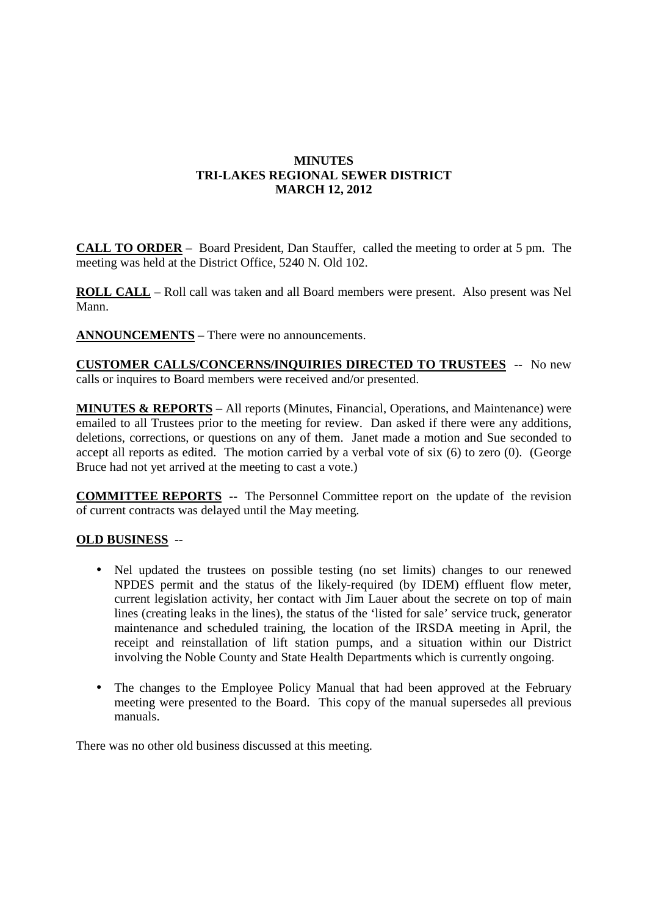## **MINUTES TRI-LAKES REGIONAL SEWER DISTRICT MARCH 12, 2012**

**CALL TO ORDER** – Board President, Dan Stauffer, called the meeting to order at 5 pm. The meeting was held at the District Office, 5240 N. Old 102.

**ROLL CALL** – Roll call was taken and all Board members were present. Also present was Nel Mann.

**ANNOUNCEMENTS** – There were no announcements.

**CUSTOMER CALLS/CONCERNS/INQUIRIES DIRECTED TO TRUSTEES** -- No new calls or inquires to Board members were received and/or presented.

**MINUTES & REPORTS** – All reports (Minutes, Financial, Operations, and Maintenance) were emailed to all Trustees prior to the meeting for review. Dan asked if there were any additions, deletions, corrections, or questions on any of them. Janet made a motion and Sue seconded to accept all reports as edited. The motion carried by a verbal vote of six (6) to zero (0). (George Bruce had not yet arrived at the meeting to cast a vote.)

**COMMITTEE REPORTS** -- The Personnel Committee report on the update of the revision of current contracts was delayed until the May meeting.

## **OLD BUSINESS** --

- Nel updated the trustees on possible testing (no set limits) changes to our renewed NPDES permit and the status of the likely-required (by IDEM) effluent flow meter, current legislation activity, her contact with Jim Lauer about the secrete on top of main lines (creating leaks in the lines), the status of the 'listed for sale' service truck, generator maintenance and scheduled training, the location of the IRSDA meeting in April, the receipt and reinstallation of lift station pumps, and a situation within our District involving the Noble County and State Health Departments which is currently ongoing.
- The changes to the Employee Policy Manual that had been approved at the February meeting were presented to the Board. This copy of the manual supersedes all previous manuals.

There was no other old business discussed at this meeting.